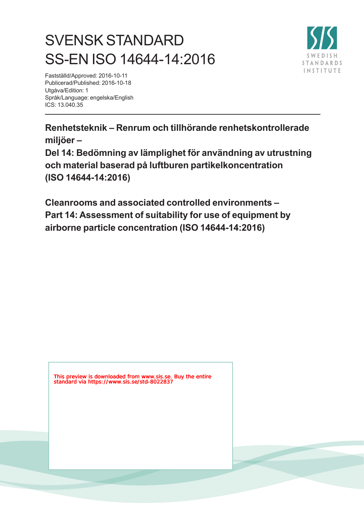# SVENSK STANDARD SS-EN ISO 14644-14:2016



Fastställd/Approved: 2016-10-11 Publicerad/Published: 2016-10-18 Utgåva/Edition: 1 Språk/Language: engelska/English ICS: 13.040.35

**Renhetsteknik – Renrum och tillhörande renhetskontrollerade miljöer – Del 14: Bedömning av lämplighet för användning av utrustning** 

**och material baserad på luftburen partikelkoncentration (ISO 14644-14:2016)**

**Cleanrooms and associated controlled environments – Part 14: Assessment of suitability for use of equipment by airborne particle concentration (ISO 14644-14:2016)**

This preview is downloaded from www.sis.se. Buy the entire standard via https://www.sis.se/std-8022837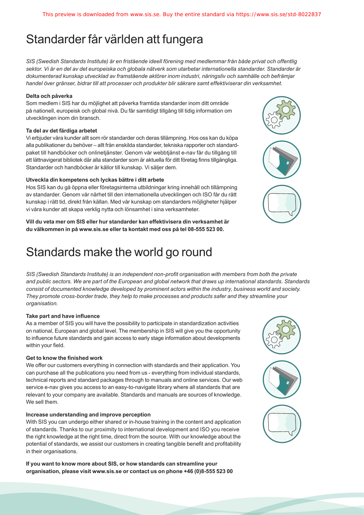# Standarder får världen att fungera

*SIS (Swedish Standards Institute) är en fristående ideell förening med medlemmar från både privat och offentlig sektor. Vi är en del av det europeiska och globala nätverk som utarbetar internationella standarder. Standarder är dokumenterad kunskap utvecklad av framstående aktörer inom industri, näringsliv och samhälle och befrämjar handel över gränser, bidrar till att processer och produkter blir säkrare samt effektiviserar din verksamhet.* 

#### **Delta och påverka**

Som medlem i SIS har du möjlighet att påverka framtida standarder inom ditt område på nationell, europeisk och global nivå. Du får samtidigt tillgång till tidig information om utvecklingen inom din bransch.

### **Ta del av det färdiga arbetet**

Vi erbjuder våra kunder allt som rör standarder och deras tillämpning. Hos oss kan du köpa alla publikationer du behöver – allt från enskilda standarder, tekniska rapporter och standardpaket till handböcker och onlinetjänster. Genom vår webbtjänst e-nav får du tillgång till ett lättnavigerat bibliotek där alla standarder som är aktuella för ditt företag finns tillgängliga. Standarder och handböcker är källor till kunskap. Vi säljer dem.

### **Utveckla din kompetens och lyckas bättre i ditt arbete**

Hos SIS kan du gå öppna eller företagsinterna utbildningar kring innehåll och tillämpning av standarder. Genom vår närhet till den internationella utvecklingen och ISO får du rätt kunskap i rätt tid, direkt från källan. Med vår kunskap om standarders möjligheter hjälper vi våra kunder att skapa verklig nytta och lönsamhet i sina verksamheter.

**Vill du veta mer om SIS eller hur standarder kan effektivisera din verksamhet är du välkommen in på www.sis.se eller ta kontakt med oss på tel 08-555 523 00.**

# Standards make the world go round

*SIS (Swedish Standards Institute) is an independent non-profit organisation with members from both the private and public sectors. We are part of the European and global network that draws up international standards. Standards consist of documented knowledge developed by prominent actors within the industry, business world and society. They promote cross-border trade, they help to make processes and products safer and they streamline your organisation.*

### **Take part and have influence**

As a member of SIS you will have the possibility to participate in standardization activities on national, European and global level. The membership in SIS will give you the opportunity to influence future standards and gain access to early stage information about developments within your field.

#### **Get to know the finished work**

We offer our customers everything in connection with standards and their application. You can purchase all the publications you need from us - everything from individual standards, technical reports and standard packages through to manuals and online services. Our web service e-nav gives you access to an easy-to-navigate library where all standards that are relevant to your company are available. Standards and manuals are sources of knowledge. We sell them.

#### **Increase understanding and improve perception**

With SIS you can undergo either shared or in-house training in the content and application of standards. Thanks to our proximity to international development and ISO you receive the right knowledge at the right time, direct from the source. With our knowledge about the potential of standards, we assist our customers in creating tangible benefit and profitability in their organisations.

**If you want to know more about SIS, or how standards can streamline your organisation, please visit www.sis.se or contact us on phone +46 (0)8-555 523 00**



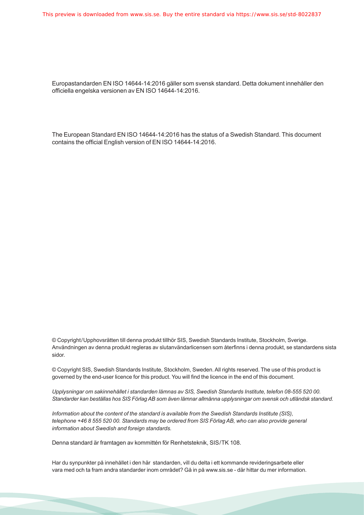Europastandarden EN ISO 14644-14:2016 gäller som svensk standard. Detta dokument innehåller den officiella engelska versionen av EN ISO 14644-14:2016.

The European Standard EN ISO 14644-14:2016 has the status of a Swedish Standard. This document contains the official English version of EN ISO 14644-14:2016.

© Copyright / Upphovsrätten till denna produkt tillhör SIS, Swedish Standards Institute, Stockholm, Sverige. Användningen av denna produkt regleras av slutanvändarlicensen som återfinns i denna produkt, se standardens sista sidor.

© Copyright SIS, Swedish Standards Institute, Stockholm, Sweden. All rights reserved. The use of this product is governed by the end-user licence for this product. You will find the licence in the end of this document.

*Upplysningar om sakinnehållet i standarden lämnas av SIS, Swedish Standards Institute, telefon 08-555 520 00. Standarder kan beställas hos SIS Förlag AB som även lämnar allmänna upplysningar om svensk och utländsk standard.*

*Information about the content of the standard is available from the Swedish Standards Institute (SIS), telephone +46 8 555 520 00. Standards may be ordered from SIS Förlag AB, who can also provide general information about Swedish and foreign standards.*

Denna standard är framtagen av kommittén för Renhetsteknik, SIS / TK 108.

Har du synpunkter på innehållet i den här standarden, vill du delta i ett kommande revideringsarbete eller vara med och ta fram andra standarder inom området? Gå in på www.sis.se - där hittar du mer information.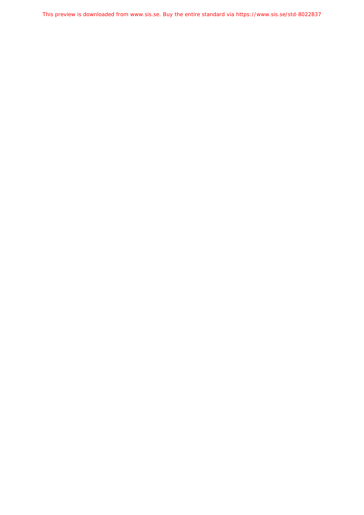This preview is downloaded from www.sis.se. Buy the entire standard via https://www.sis.se/std-8022837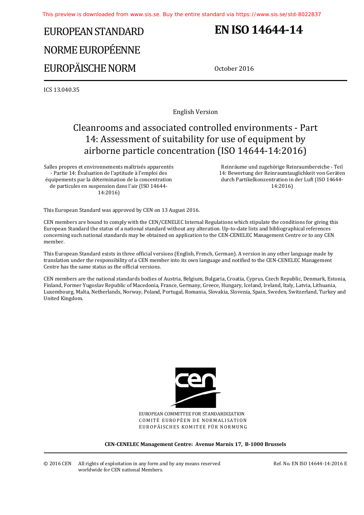# EUROPEAN STANDARD NORME EUROPÉENNE EUROPÄISCHE NORM

# **EN ISO 14644-14**

October 2016

ICS 13.040.35

English Version

## Cleanrooms and associated controlled environments - Part 14: Assessment of suitability for use of equipment by airborne particle concentration (ISO 14644-14:2016)

Salles propres et environnements maîtrisés apparentés - Partie 14: Évaluation de l'aptitude à l'emploi des équipements par la détermination de la concentration de particules en suspension dans l'air (ISO 14644- 14:2016)

 Reinräume und zugehörige Reinraumbereiche - Teil 14: Bewertung der Reinraumtauglichkeit von Geräten durch Partikelkonzentration in der Luft (ISO 14644- 14:2016)

This European Standard was approved by CEN on 13 August 2016.

CEN members are bound to comply with the CEN/CENELEC Internal Regulations which stipulate the conditions for giving this European Standard the status of a national standard without any alteration. Up-to-date lists and bibliographical references concerning such national standards may be obtained on application to the CEN-CENELEC Management Centre or to any CEN member.

This European Standard exists in three official versions (English, French, German). A version in any other language made by translation under the responsibility of a CEN member into its own language and notified to the CEN-CENELEC Management Centre has the same status as the official versions.

CEN members are the national standards bodies of Austria, Belgium, Bulgaria, Croatia, Cyprus, Czech Republic, Denmark, Estonia, Finland, Former Yugoslav Republic of Macedonia, France, Germany, Greece, Hungary, Iceland, Ireland, Italy, Latvia, Lithuania, Luxembourg, Malta, Netherlands, Norway, Poland, Portugal, Romania, Slovakia, Slovenia, Spain, Sweden, Switzerland, Turkey and United Kingdom.



EUROPEAN COMMITTEE FOR STANDARDIZATION COMITÉ EUROPÉEN DE NORMALISATION EUROPÄISCHES KOMITEE FÜR NORMUNG

**CEN-CENELEC Management Centre: Avenue Marnix 17, B-1000 Brussels** 

© 2016 CEN All rights of exploitation in any form and by any means reserved worldwide for CEN national Members.

Ref. No. EN ISO 14644-14:2016 E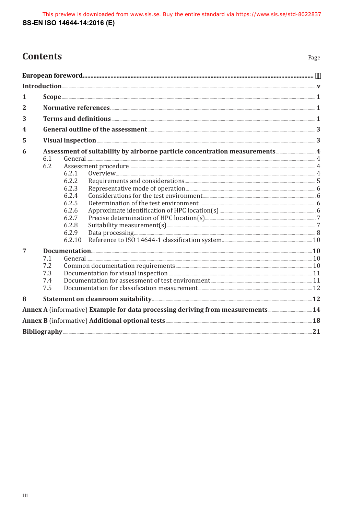## **Contents**

Page

| 1 |                                                                                                                                                                                                                                    |        |  |  |
|---|------------------------------------------------------------------------------------------------------------------------------------------------------------------------------------------------------------------------------------|--------|--|--|
|   |                                                                                                                                                                                                                                    |        |  |  |
| 2 |                                                                                                                                                                                                                                    |        |  |  |
| 3 | Terms and definitions <b>Executions</b> and set of the set of the set of the set of the set of the set of the set of the set of the set of the set of the set of the set of the set of the set of the set of the set of the set of |        |  |  |
| 4 |                                                                                                                                                                                                                                    |        |  |  |
| 5 |                                                                                                                                                                                                                                    |        |  |  |
| 6 | Assessment of suitability by airborne particle concentration measurements <b>Martin 2018</b>                                                                                                                                       |        |  |  |
|   | 6.1                                                                                                                                                                                                                                |        |  |  |
|   | 6.2                                                                                                                                                                                                                                |        |  |  |
|   |                                                                                                                                                                                                                                    | 6.2.1  |  |  |
|   |                                                                                                                                                                                                                                    | 6.2.2  |  |  |
|   |                                                                                                                                                                                                                                    | 6.2.3  |  |  |
|   |                                                                                                                                                                                                                                    | 6.2.4  |  |  |
|   |                                                                                                                                                                                                                                    | 6.2.5  |  |  |
|   |                                                                                                                                                                                                                                    | 6.2.6  |  |  |
|   |                                                                                                                                                                                                                                    | 6.2.7  |  |  |
|   |                                                                                                                                                                                                                                    | 6.2.8  |  |  |
|   |                                                                                                                                                                                                                                    | 6.2.9  |  |  |
|   |                                                                                                                                                                                                                                    | 6.2.10 |  |  |
| 7 |                                                                                                                                                                                                                                    |        |  |  |
|   | 7.1                                                                                                                                                                                                                                |        |  |  |
|   | 7.2                                                                                                                                                                                                                                |        |  |  |
|   | 7.3                                                                                                                                                                                                                                |        |  |  |
|   | 7.4                                                                                                                                                                                                                                |        |  |  |
|   | 7.5                                                                                                                                                                                                                                |        |  |  |
| 8 |                                                                                                                                                                                                                                    |        |  |  |
|   | Annex A (informative) Example for data processing deriving from measurements 14                                                                                                                                                    |        |  |  |
|   |                                                                                                                                                                                                                                    |        |  |  |
|   |                                                                                                                                                                                                                                    |        |  |  |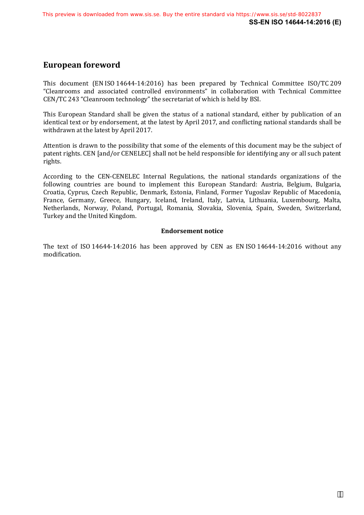## **European foreword**

This document (EN ISO 14644-14:2016) has been prepared by Technical Committee ISO/TC 209 "Cleanrooms and associated controlled environments" in collaboration with Technical Committee CEN/TC 243 "Cleanroom technology" the secretariat of which is held by BSI.

This European Standard shall be given the status of a national standard, either by publication of an identical text or by endorsement, at the latest by April 2017, and conflicting national standards shall be withdrawn at the latest by April 2017.

Attention is drawn to the possibility that some of the elements of this document may be the subject of patent rights. CEN [and/or CENELEC] shall not be held responsible for identifying any or all such patent rights.

According to the CEN-CENELEC Internal Regulations, the national standards organizations of the following countries are bound to implement this European Standard: Austria, Belgium, Bulgaria, Croatia, Cyprus, Czech Republic, Denmark, Estonia, Finland, Former Yugoslav Republic of Macedonia, France, Germany, Greece, Hungary, Iceland, Ireland, Italy, Latvia, Lithuania, Luxembourg, Malta, Netherlands, Norway, Poland, Portugal, Romania, Slovakia, Slovenia, Spain, Sweden, Switzerland, Turkey and the United Kingdom.

## **Endorsement notice**

The text of ISO 14644-14:2016 has been approved by CEN as EN ISO 14644-14:2016 without any modification.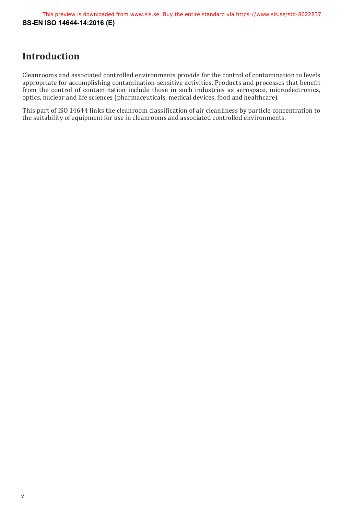## **Introduction**

Cleanrooms and associated controlled environments provide for the control of contamination to levels appropriate for accomplishing contamination-sensitive activities. Products and processes that benefit from the control of contamination include those in such industries as aerospace, microelectronics, optics, nuclear and life sciences (pharmaceuticals, medical devices, food and healthcare).

This part of ISO 14644 links the cleanroom classification of air cleanliness by particle concentration to the suitability of equipment for use in cleanrooms and associated controlled environments.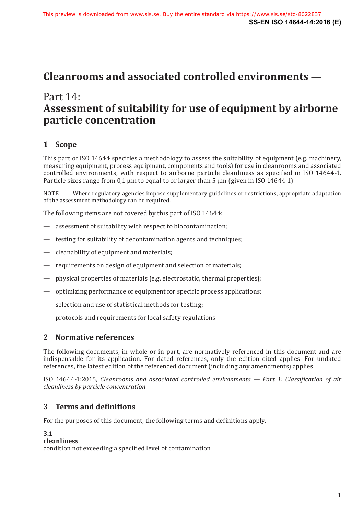## **Cleanrooms and associated controlled environments —**

## Part 14: **Assessment of suitability for use of equipment by airborne particle concentration**

## **1 Scope**

This part of ISO 14644 specifies a methodology to assess the suitability of equipment (e.g. machinery, measuring equipment, process equipment, components and tools) for use in cleanrooms and associated controlled environments, with respect to airborne particle cleanliness as specified in ISO 14644-1. Particle sizes range from 0,1  $\mu$ m to equal to or larger than 5  $\mu$ m (given in ISO 14644-1).

NOTE Where regulatory agencies impose supplementary guidelines or restrictions, appropriate adaptation of the assessment methodology can be required.

The following items are not covered by this part of ISO 14644:

- assessment of suitability with respect to biocontamination;
- testing for suitability of decontamination agents and techniques;
- cleanability of equipment and materials;
- requirements on design of equipment and selection of materials;
- physical properties of materials (e.g. electrostatic, thermal properties);
- optimizing performance of equipment for specific process applications;
- selection and use of statistical methods for testing;
- protocols and requirements for local safety regulations.

## **2 Normative references**

The following documents, in whole or in part, are normatively referenced in this document and are indispensable for its application. For dated references, only the edition cited applies. For undated references, the latest edition of the referenced document (including any amendments) applies.

ISO 14644-1:2015, *Cleanrooms and associated controlled environments — Part 1: Classification of air cleanliness by particle concentration*

## **3 Terms and definitions**

For the purposes of this document, the following terms and definitions apply.

## **3.1**

## **cleanliness**

condition not exceeding a specified level of contamination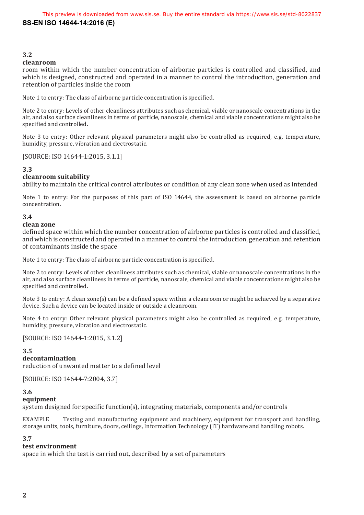## **3.2**

## **cleanroom**

room within which the number concentration of airborne particles is controlled and classified, and which is designed, constructed and operated in a manner to control the introduction, generation and retention of particles inside the room

Note 1 to entry: The class of airborne particle concentration is specified.

Note 2 to entry: Levels of other cleanliness attributes such as chemical, viable or nanoscale concentrations in the air, and also surface cleanliness in terms of particle, nanoscale, chemical and viable concentrations might also be specified and controlled.

Note 3 to entry: Other relevant physical parameters might also be controlled as required, e.g. temperature, humidity, pressure, vibration and electrostatic.

[SOURCE: ISO 14644-1:2015, 3.1.1]

## **3.3**

## **cleanroom suitability**

ability to maintain the critical control attributes or condition of any clean zone when used as intended

Note 1 to entry: For the purposes of this part of ISO 14644, the assessment is based on airborne particle concentration.

## **3.4**

## **clean zone**

defined space within which the number concentration of airborne particles is controlled and classified, and which is constructed and operated in a manner to control the introduction, generation and retention of contaminants inside the space

Note 1 to entry: The class of airborne particle concentration is specified.

Note 2 to entry: Levels of other cleanliness attributes such as chemical, viable or nanoscale concentrations in the air, and also surface cleanliness in terms of particle, nanoscale, chemical and viable concentrations might also be specified and controlled.

Note 3 to entry: A clean zone(s) can be a defined space within a cleanroom or might be achieved by a separative device. Such a device can be located inside or outside a cleanroom.

Note 4 to entry: Other relevant physical parameters might also be controlled as required, e.g. temperature, humidity, pressure, vibration and electrostatic.

[SOURCE: ISO 14644-1:2015, 3.1.2]

### **3.5**

## **decontamination**

reduction of unwanted matter to a defined level

[SOURCE: ISO 14644-7:2004, 3.7]

### **3.6**

### **equipment**

system designed for specific function(s), integrating materials, components and/or controls

EXAMPLE Testing and manufacturing equipment and machinery, equipment for transport and handling, storage units, tools, furniture, doors, ceilings, Information Technology (IT) hardware and handling robots.

### **3.7**

## **test environment**

space in which the test is carried out, described by a set of parameters